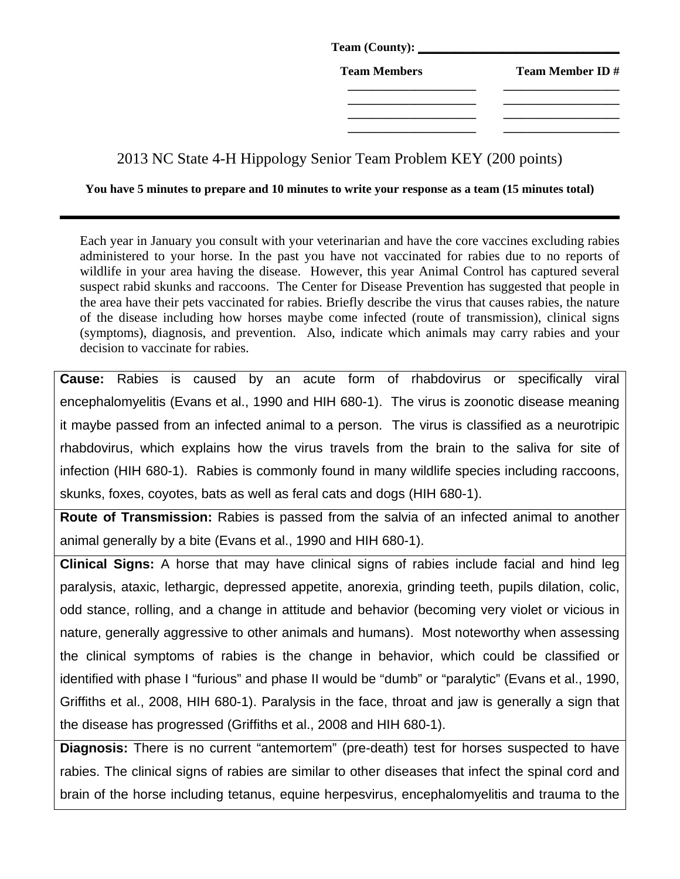| <b>Team Member ID#</b> |
|------------------------|
|                        |
|                        |
|                        |

## 2013 NC State 4-H Hippology Senior Team Problem KEY (200 points)

**You have 5 minutes to prepare and 10 minutes to write your response as a team (15 minutes total)** 

Each year in January you consult with your veterinarian and have the core vaccines excluding rabies administered to your horse. In the past you have not vaccinated for rabies due to no reports of wildlife in your area having the disease. However, this year Animal Control has captured several suspect rabid skunks and raccoons. The Center for Disease Prevention has suggested that people in the area have their pets vaccinated for rabies. Briefly describe the virus that causes rabies, the nature of the disease including how horses maybe come infected (route of transmission), clinical signs (symptoms), diagnosis, and prevention. Also, indicate which animals may carry rabies and your decision to vaccinate for rabies.

**Cause:** Rabies is caused by an acute form of rhabdovirus or specifically viral encephalomyelitis (Evans et al., 1990 and HIH 680-1). The virus is zoonotic disease meaning it maybe passed from an infected animal to a person. The virus is classified as a neurotripic rhabdovirus, which explains how the virus travels from the brain to the saliva for site of infection (HIH 680-1). Rabies is commonly found in many wildlife species including raccoons, skunks, foxes, coyotes, bats as well as feral cats and dogs (HIH 680-1).

**Route of Transmission:** Rabies is passed from the salvia of an infected animal to another animal generally by a bite (Evans et al., 1990 and HIH 680-1).

**Clinical Signs:** A horse that may have clinical signs of rabies include facial and hind leg paralysis, ataxic, lethargic, depressed appetite, anorexia, grinding teeth, pupils dilation, colic, odd stance, rolling, and a change in attitude and behavior (becoming very violet or vicious in nature, generally aggressive to other animals and humans). Most noteworthy when assessing the clinical symptoms of rabies is the change in behavior, which could be classified or identified with phase I "furious" and phase II would be "dumb" or "paralytic" (Evans et al., 1990, Griffiths et al., 2008, HIH 680-1). Paralysis in the face, throat and jaw is generally a sign that the disease has progressed (Griffiths et al., 2008 and HIH 680-1).

**Diagnosis:** There is no current "antemortem" (pre-death) test for horses suspected to have rabies. The clinical signs of rabies are similar to other diseases that infect the spinal cord and brain of the horse including tetanus, equine herpesvirus, encephalomyelitis and trauma to the